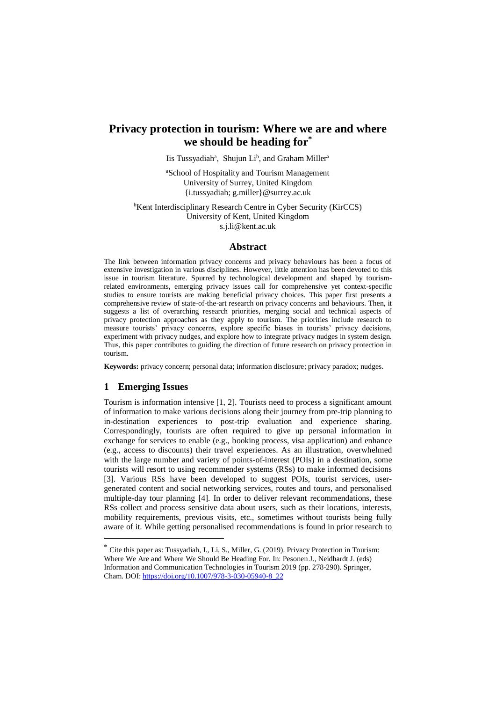# **Privacy protection in tourism: Where we are and where we should be heading for \***

lis Tussyadiah<sup>a</sup>, Shujun Li<sup>b</sup>, and Graham Miller<sup>a</sup>

<sup>a</sup>School of Hospitality and Tourism Management University of Surrey, United Kingdom {i.tussyadiah; g.miller}@surrey.ac.uk

<sup>b</sup>Kent Interdisciplinary Research Centre in Cyber Security (KirCCS) University of Kent, United Kingdom s.j.li@kent.ac.uk

#### **Abstract**

The link between information privacy concerns and privacy behaviours has been a focus of extensive investigation in various disciplines. However, little attention has been devoted to this issue in tourism literature. Spurred by technological development and shaped by tourismrelated environments, emerging privacy issues call for comprehensive yet context-specific studies to ensure tourists are making beneficial privacy choices. This paper first presents a comprehensive review of state-of-the-art research on privacy concerns and behaviours. Then, it suggests a list of overarching research priorities, merging social and technical aspects of privacy protection approaches as they apply to tourism. The priorities include research to measure tourists' privacy concerns, explore specific biases in tourists' privacy decisions, experiment with privacy nudges, and explore how to integrate privacy nudges in system design. Thus, this paper contributes to guiding the direction of future research on privacy protection in tourism.

**Keywords:** privacy concern; personal data; information disclosure; privacy paradox; nudges.

# **1 Emerging Issues**

1

Tourism is information intensive [1, 2]. Tourists need to process a significant amount of information to make various decisions along their journey from pre-trip planning to in-destination experiences to post-trip evaluation and experience sharing. Correspondingly, tourists are often required to give up personal information in exchange for services to enable (e.g., booking process, visa application) and enhance (e.g., access to discounts) their travel experiences. As an illustration, overwhelmed with the large number and variety of points-of-interest (POIs) in a destination, some tourists will resort to using recommender systems (RSs) to make informed decisions [3]. Various RSs have been developed to suggest POIs, tourist services, usergenerated content and social networking services, routes and tours, and personalised multiple-day tour planning [4]. In order to deliver relevant recommendations, these RSs collect and process sensitive data about users, such as their locations, interests, mobility requirements, previous visits, etc., sometimes without tourists being fully aware of it. While getting personalised recommendations is found in prior research to

<sup>\*</sup> Cite this paper as: Tussyadiah, I., Li, S., Miller, G. (2019). Privacy Protection in Tourism: Where We Are and Where We Should Be Heading For. In: Pesonen J., Neidhardt J. (eds) Information and Communication Technologies in Tourism 2019 (pp. 278-290). Springer, Cham. DOI[: https://doi.org/10.1007/978-3-030-05940-8\\_22](https://doi.org/10.1007/978-3-030-05940-8_22)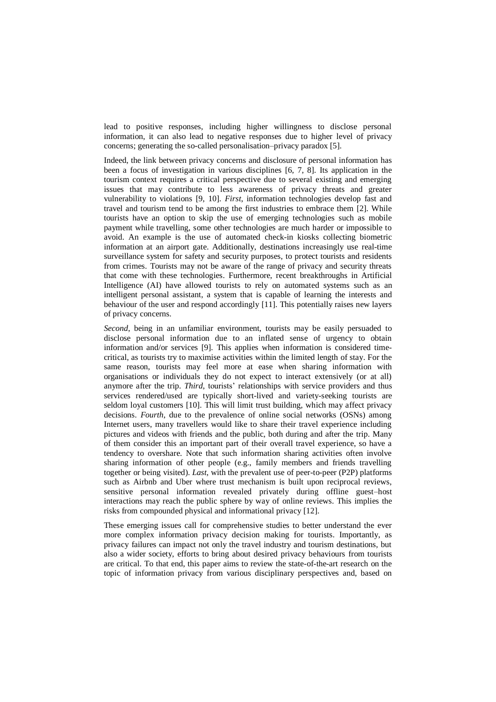lead to positive responses, including higher willingness to disclose personal information, it can also lead to negative responses due to higher level of privacy concerns; generating the so-called personalisation–privacy paradox [5].

Indeed, the link between privacy concerns and disclosure of personal information has been a focus of investigation in various disciplines [6, 7, 8]. Its application in the tourism context requires a critical perspective due to several existing and emerging issues that may contribute to less awareness of privacy threats and greater vulnerability to violations [9, 10]. *First*, information technologies develop fast and travel and tourism tend to be among the first industries to embrace them [2]. While tourists have an option to skip the use of emerging technologies such as mobile payment while travelling, some other technologies are much harder or impossible to avoid. An example is the use of automated check-in kiosks collecting biometric information at an airport gate. Additionally, destinations increasingly use real-time surveillance system for safety and security purposes, to protect tourists and residents from crimes. Tourists may not be aware of the range of privacy and security threats that come with these technologies. Furthermore, recent breakthroughs in Artificial Intelligence (AI) have allowed tourists to rely on automated systems such as an intelligent personal assistant, a system that is capable of learning the interests and behaviour of the user and respond accordingly [11]. This potentially raises new layers of privacy concerns.

*Second*, being in an unfamiliar environment, tourists may be easily persuaded to disclose personal information due to an inflated sense of urgency to obtain information and/or services [9]. This applies when information is considered timecritical, as tourists try to maximise activities within the limited length of stay. For the same reason, tourists may feel more at ease when sharing information with organisations or individuals they do not expect to interact extensively (or at all) anymore after the trip. *Third*, tourists' relationships with service providers and thus services rendered/used are typically short-lived and variety-seeking tourists are seldom loyal customers [10]. This will limit trust building, which may affect privacy decisions. *Fourth*, due to the prevalence of online social networks (OSNs) among Internet users, many travellers would like to share their travel experience including pictures and videos with friends and the public, both during and after the trip. Many of them consider this an important part of their overall travel experience, so have a tendency to overshare. Note that such information sharing activities often involve sharing information of other people (e.g., family members and friends travelling together or being visited). *Last*, with the prevalent use of peer-to-peer (P2P) platforms such as Airbnb and Uber where trust mechanism is built upon reciprocal reviews, sensitive personal information revealed privately during offline guest–host interactions may reach the public sphere by way of online reviews. This implies the risks from compounded physical and informational privacy [12].

These emerging issues call for comprehensive studies to better understand the ever more complex information privacy decision making for tourists. Importantly, as privacy failures can impact not only the travel industry and tourism destinations, but also a wider society, efforts to bring about desired privacy behaviours from tourists are critical. To that end, this paper aims to review the state-of-the-art research on the topic of information privacy from various disciplinary perspectives and, based on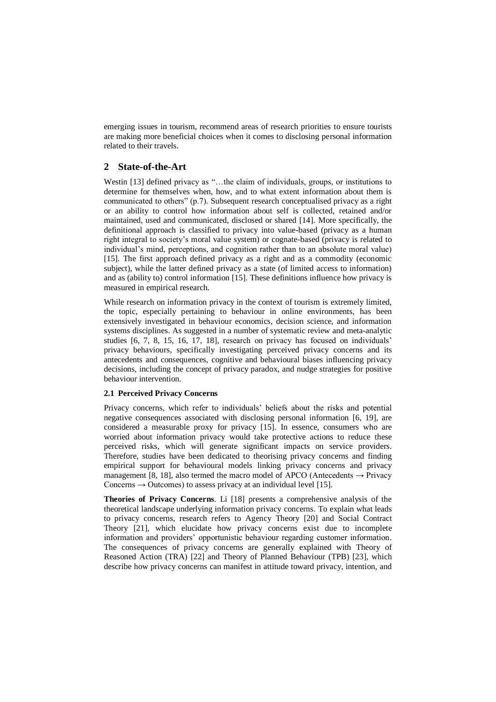emerging issues in tourism, recommend areas of research priorities to ensure tourists are making more beneficial choices when it comes to disclosing personal information related to their travels.

# **2 State-of-the-Art**

Westin [13] defined privacy as "...the claim of individuals, groups, or institutions to determine for themselves when, how, and to what extent information about them is communicated to others" (p.7). Subsequent research conceptualised privacy as a right or an ability to control how information about self is collected, retained and/or maintained, used and communicated, disclosed or shared [14]. More specifically, the definitional approach is classified to privacy into value-based (privacy as a human right integral to society's moral value system) or cognate-based (privacy is related to individual's mind, perceptions, and cognition rather than to an absolute moral value) [15]. The first approach defined privacy as a right and as a commodity (economic subject), while the latter defined privacy as a state (of limited access to information) and as (ability to) control information [15]. These definitions influence how privacy is measured in empirical research.

While research on information privacy in the context of tourism is extremely limited, the topic, especially pertaining to behaviour in online environments, has been extensively investigated in behaviour economics, decision science, and information systems disciplines. As suggested in a number of systematic review and meta-analytic studies [6, 7, 8, 15, 16, 17, 18], research on privacy has focused on individuals' privacy behaviours, specifically investigating perceived privacy concerns and its antecedents and consequences, cognitive and behavioural biases influencing privacy decisions, including the concept of privacy paradox, and nudge strategies for positive behaviour intervention.

#### **2.1 Perceived Privacy Concerns**

Privacy concerns, which refer to individuals' beliefs about the risks and potential negative consequences associated with disclosing personal information [6, 19], are considered a measurable proxy for privacy [15]. In essence, consumers who are worried about information privacy would take protective actions to reduce these perceived risks, which will generate significant impacts on service providers. Therefore, studies have been dedicated to theorising privacy concerns and finding empirical support for behavioural models linking privacy concerns and privacy management [8, 18], also termed the macro model of APCO (Antecedents  $\rightarrow$  Privacy Concerns  $\rightarrow$  Outcomes) to assess privacy at an individual level [15].

**Theories of Privacy Concerns**. Li [18] presents a comprehensive analysis of the theoretical landscape underlying information privacy concerns. To explain what leads to privacy concerns, research refers to Agency Theory [20] and Social Contract Theory [21], which elucidate how privacy concerns exist due to incomplete information and providers' opportunistic behaviour regarding customer information. The consequences of privacy concerns are generally explained with Theory of Reasoned Action (TRA) [22] and Theory of Planned Behaviour (TPB) [23], which describe how privacy concerns can manifest in attitude toward privacy, intention, and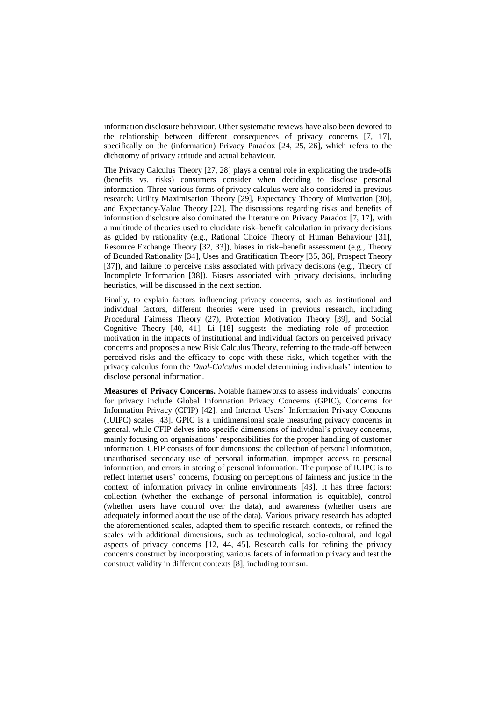information disclosure behaviour. Other systematic reviews have also been devoted to the relationship between different consequences of privacy concerns [7, 17], specifically on the (information) Privacy Paradox [24, 25, 26], which refers to the dichotomy of privacy attitude and actual behaviour.

The Privacy Calculus Theory [27, 28] plays a central role in explicating the trade-offs (benefits vs. risks) consumers consider when deciding to disclose personal information. Three various forms of privacy calculus were also considered in previous research: Utility Maximisation Theory [29], Expectancy Theory of Motivation [30], and Expectancy-Value Theory [22]. The discussions regarding risks and benefits of information disclosure also dominated the literature on Privacy Paradox [7, 17], with a multitude of theories used to elucidate risk–benefit calculation in privacy decisions as guided by rationality (e.g., Rational Choice Theory of Human Behaviour [31], Resource Exchange Theory [32, 33]), biases in risk–benefit assessment (e.g., Theory of Bounded Rationality [34], Uses and Gratification Theory [35, 36], Prospect Theory [37]), and failure to perceive risks associated with privacy decisions (e.g., Theory of Incomplete Information [38]). Biases associated with privacy decisions, including heuristics, will be discussed in the next section.

Finally, to explain factors influencing privacy concerns, such as institutional and individual factors, different theories were used in previous research, including Procedural Fairness Theory (27), Protection Motivation Theory [39], and Social Cognitive Theory [40, 41]. Li [18] suggests the mediating role of protectionmotivation in the impacts of institutional and individual factors on perceived privacy concerns and proposes a new Risk Calculus Theory, referring to the trade-off between perceived risks and the efficacy to cope with these risks, which together with the privacy calculus form the *Dual-Calculus* model determining individuals' intention to disclose personal information.

**Measures of Privacy Concerns.** Notable frameworks to assess individuals' concerns for privacy include Global Information Privacy Concerns (GPIC), Concerns for Information Privacy (CFIP) [42], and Internet Users' Information Privacy Concerns (IUIPC) scales [43]. GPIC is a unidimensional scale measuring privacy concerns in general, while CFIP delves into specific dimensions of individual's privacy concerns, mainly focusing on organisations' responsibilities for the proper handling of customer information. CFIP consists of four dimensions: the collection of personal information, unauthorised secondary use of personal information, improper access to personal information, and errors in storing of personal information. The purpose of IUIPC is to reflect internet users' concerns, focusing on perceptions of fairness and justice in the context of information privacy in online environments [43]. It has three factors: collection (whether the exchange of personal information is equitable), control (whether users have control over the data), and awareness (whether users are adequately informed about the use of the data). Various privacy research has adopted the aforementioned scales, adapted them to specific research contexts, or refined the scales with additional dimensions, such as technological, socio-cultural, and legal aspects of privacy concerns [12, 44, 45]. Research calls for refining the privacy concerns construct by incorporating various facets of information privacy and test the construct validity in different contexts [8], including tourism.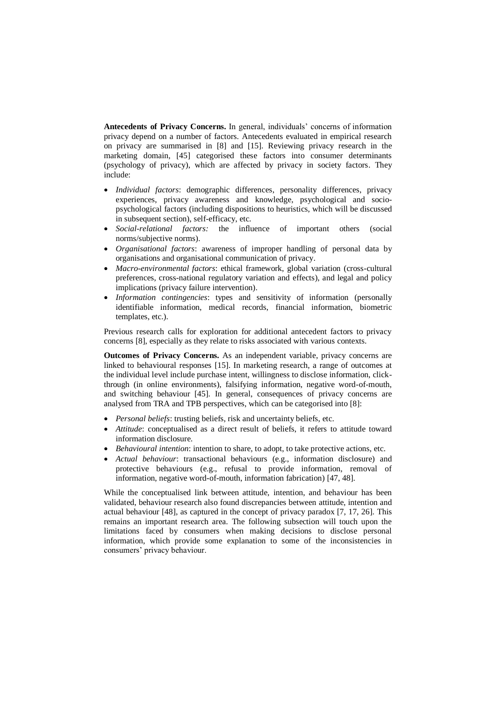**Antecedents of Privacy Concerns.** In general, individuals' concerns of information privacy depend on a number of factors. Antecedents evaluated in empirical research on privacy are summarised in [8] and [15]. Reviewing privacy research in the marketing domain, [45] categorised these factors into consumer determinants (psychology of privacy), which are affected by privacy in society factors. They include:

- *Individual factors*: demographic differences, personality differences, privacy experiences, privacy awareness and knowledge, psychological and sociopsychological factors (including dispositions to heuristics, which will be discussed in subsequent section), self-efficacy, etc.
- *Social-relational factors:* the influence of important others (social norms/subjective norms).
- *Organisational factors*: awareness of improper handling of personal data by organisations and organisational communication of privacy.
- *Macro-environmental factors*: ethical framework, global variation (cross-cultural preferences, cross-national regulatory variation and effects), and legal and policy implications (privacy failure intervention).
- *Information contingencies*: types and sensitivity of information (personally identifiable information, medical records, financial information, biometric templates, etc.).

Previous research calls for exploration for additional antecedent factors to privacy concerns [8], especially as they relate to risks associated with various contexts.

**Outcomes of Privacy Concerns.** As an independent variable, privacy concerns are linked to behavioural responses [15]. In marketing research, a range of outcomes at the individual level include purchase intent, willingness to disclose information, clickthrough (in online environments), falsifying information, negative word-of-mouth, and switching behaviour [45]. In general, consequences of privacy concerns are analysed from TRA and TPB perspectives, which can be categorised into [8]:

- *Personal beliefs*: trusting beliefs, risk and uncertainty beliefs, etc.
- *Attitude*: conceptualised as a direct result of beliefs, it refers to attitude toward information disclosure.
- *Behavioural intention*: intention to share, to adopt, to take protective actions, etc.
- *Actual behaviour*: transactional behaviours (e.g., information disclosure) and protective behaviours (e.g., refusal to provide information, removal of information, negative word-of-mouth, information fabrication) [47, 48].

While the conceptualised link between attitude, intention, and behaviour has been validated, behaviour research also found discrepancies between attitude, intention and actual behaviour [48], as captured in the concept of privacy paradox [7, 17, 26]. This remains an important research area. The following subsection will touch upon the limitations faced by consumers when making decisions to disclose personal information, which provide some explanation to some of the inconsistencies in consumers' privacy behaviour.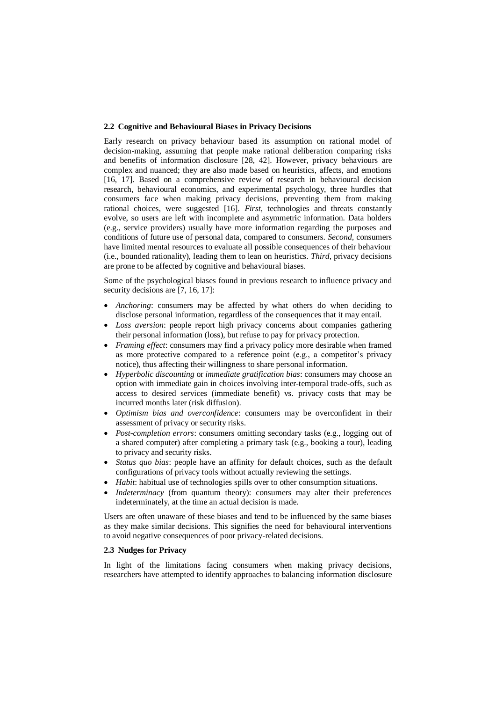#### **2.2 Cognitive and Behavioural Biases in Privacy Decisions**

Early research on privacy behaviour based its assumption on rational model of decision-making, assuming that people make rational deliberation comparing risks and benefits of information disclosure [28, 42]. However, privacy behaviours are complex and nuanced; they are also made based on heuristics, affects, and emotions [16, 17]. Based on a comprehensive review of research in behavioural decision research, behavioural economics, and experimental psychology, three hurdles that consumers face when making privacy decisions, preventing them from making rational choices, were suggested [16]. *First*, technologies and threats constantly evolve, so users are left with incomplete and asymmetric information. Data holders (e.g., service providers) usually have more information regarding the purposes and conditions of future use of personal data, compared to consumers. *Second*, consumers have limited mental resources to evaluate all possible consequences of their behaviour (i.e., bounded rationality), leading them to lean on heuristics. *Third*, privacy decisions are prone to be affected by cognitive and behavioural biases.

Some of the psychological biases found in previous research to influence privacy and security decisions are [7, 16, 17]:

- *Anchoring*: consumers may be affected by what others do when deciding to disclose personal information, regardless of the consequences that it may entail.
- *Loss aversion*: people report high privacy concerns about companies gathering their personal information (loss), but refuse to pay for privacy protection.
- *Framing effect*: consumers may find a privacy policy more desirable when framed as more protective compared to a reference point (e.g., a competitor's privacy notice), thus affecting their willingness to share personal information.
- *Hyperbolic discounting* or *immediate gratification bias*: consumers may choose an option with immediate gain in choices involving inter-temporal trade-offs, such as access to desired services (immediate benefit) vs. privacy costs that may be incurred months later (risk diffusion).
- *Optimism bias and overconfidence*: consumers may be overconfident in their assessment of privacy or security risks.
- *Post-completion errors*: consumers omitting secondary tasks (e.g., logging out of a shared computer) after completing a primary task (e.g., booking a tour), leading to privacy and security risks.
- *Status quo bias*: people have an affinity for default choices, such as the default configurations of privacy tools without actually reviewing the settings.
- *Habit*: habitual use of technologies spills over to other consumption situations.
- *Indeterminacy* (from quantum theory): consumers may alter their preferences indeterminately, at the time an actual decision is made.

Users are often unaware of these biases and tend to be influenced by the same biases as they make similar decisions. This signifies the need for behavioural interventions to avoid negative consequences of poor privacy-related decisions.

#### **2.3 Nudges for Privacy**

In light of the limitations facing consumers when making privacy decisions, researchers have attempted to identify approaches to balancing information disclosure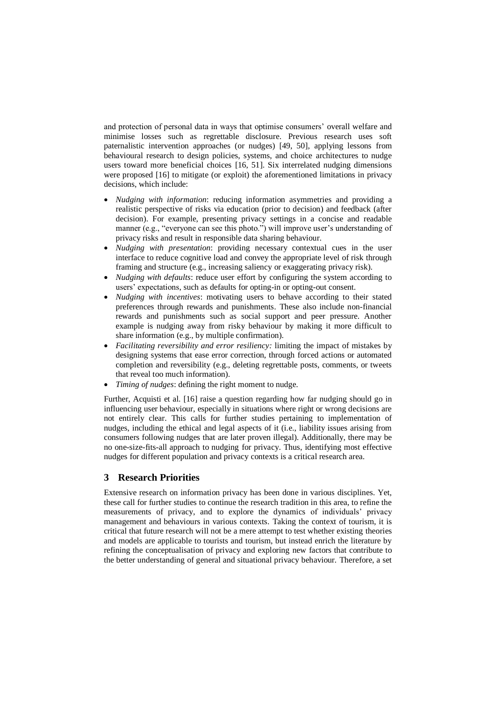and protection of personal data in ways that optimise consumers' overall welfare and minimise losses such as regrettable disclosure. Previous research uses soft paternalistic intervention approaches (or nudges) [49, 50], applying lessons from behavioural research to design policies, systems, and choice architectures to nudge users toward more beneficial choices [16, 51]. Six interrelated nudging dimensions were proposed [16] to mitigate (or exploit) the aforementioned limitations in privacy decisions, which include:

- *Nudging with information*: reducing information asymmetries and providing a realistic perspective of risks via education (prior to decision) and feedback (after decision). For example, presenting privacy settings in a concise and readable manner (e.g., "everyone can see this photo.") will improve user's understanding of privacy risks and result in responsible data sharing behaviour.
- *Nudging with presentation*: providing necessary contextual cues in the user interface to reduce cognitive load and convey the appropriate level of risk through framing and structure (e.g., increasing saliency or exaggerating privacy risk).
- *Nudging with defaults*: reduce user effort by configuring the system according to users' expectations, such as defaults for opting-in or opting-out consent.
- *Nudging with incentives*: motivating users to behave according to their stated preferences through rewards and punishments. These also include non-financial rewards and punishments such as social support and peer pressure. Another example is nudging away from risky behaviour by making it more difficult to share information (e.g., by multiple confirmation).
- *Facilitating reversibility and error resiliency:* limiting the impact of mistakes by designing systems that ease error correction, through forced actions or automated completion and reversibility (e.g., deleting regrettable posts, comments, or tweets that reveal too much information).
- *Timing of nudges*: defining the right moment to nudge.

Further, Acquisti et al. [16] raise a question regarding how far nudging should go in influencing user behaviour, especially in situations where right or wrong decisions are not entirely clear. This calls for further studies pertaining to implementation of nudges, including the ethical and legal aspects of it (i.e., liability issues arising from consumers following nudges that are later proven illegal). Additionally, there may be no one-size-fits-all approach to nudging for privacy. Thus, identifying most effective nudges for different population and privacy contexts is a critical research area.

## **3 Research Priorities**

Extensive research on information privacy has been done in various disciplines. Yet, these call for further studies to continue the research tradition in this area, to refine the measurements of privacy, and to explore the dynamics of individuals' privacy management and behaviours in various contexts. Taking the context of tourism, it is critical that future research will not be a mere attempt to test whether existing theories and models are applicable to tourists and tourism, but instead enrich the literature by refining the conceptualisation of privacy and exploring new factors that contribute to the better understanding of general and situational privacy behaviour. Therefore, a set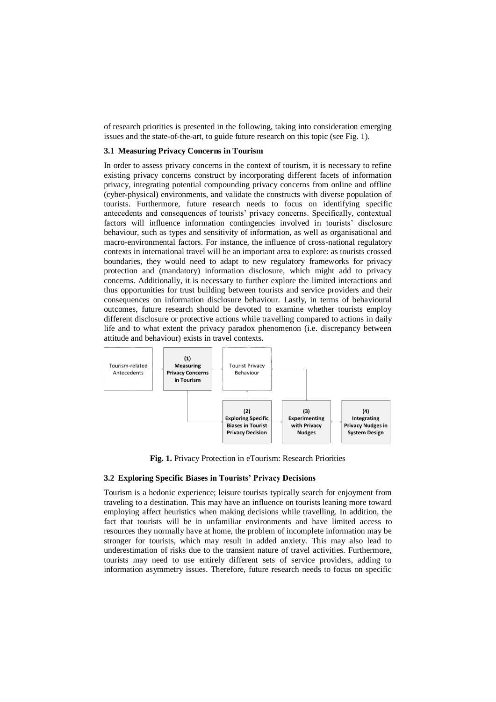of research priorities is presented in the following, taking into consideration emerging issues and the state-of-the-art, to guide future research on this topic (see Fig. 1).

#### **3.1 Measuring Privacy Concerns in Tourism**

In order to assess privacy concerns in the context of tourism, it is necessary to refine existing privacy concerns construct by incorporating different facets of information privacy, integrating potential compounding privacy concerns from online and offline (cyber-physical) environments, and validate the constructs with diverse population of tourists. Furthermore, future research needs to focus on identifying specific antecedents and consequences of tourists' privacy concerns. Specifically, contextual factors will influence information contingencies involved in tourists' disclosure behaviour, such as types and sensitivity of information, as well as organisational and macro-environmental factors. For instance, the influence of cross-national regulatory contexts in international travel will be an important area to explore: as tourists crossed boundaries, they would need to adapt to new regulatory frameworks for privacy protection and (mandatory) information disclosure, which might add to privacy concerns. Additionally, it is necessary to further explore the limited interactions and thus opportunities for trust building between tourists and service providers and their consequences on information disclosure behaviour. Lastly, in terms of behavioural outcomes, future research should be devoted to examine whether tourists employ different disclosure or protective actions while travelling compared to actions in daily life and to what extent the privacy paradox phenomenon (i.e. discrepancy between attitude and behaviour) exists in travel contexts.



**Fig. 1.** Privacy Protection in eTourism: Research Priorities

#### **3.2 Exploring Specific Biases in Tourists' Privacy Decisions**

Tourism is a hedonic experience; leisure tourists typically search for enjoyment from traveling to a destination. This may have an influence on tourists leaning more toward employing affect heuristics when making decisions while travelling. In addition, the fact that tourists will be in unfamiliar environments and have limited access to resources they normally have at home, the problem of incomplete information may be stronger for tourists, which may result in added anxiety. This may also lead to underestimation of risks due to the transient nature of travel activities. Furthermore, tourists may need to use entirely different sets of service providers, adding to information asymmetry issues. Therefore, future research needs to focus on specific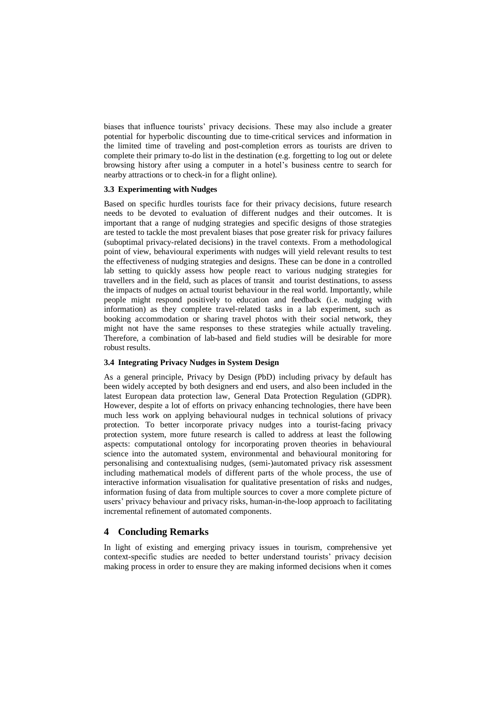biases that influence tourists' privacy decisions. These may also include a greater potential for hyperbolic discounting due to time-critical services and information in the limited time of traveling and post-completion errors as tourists are driven to complete their primary to-do list in the destination (e.g. forgetting to log out or delete browsing history after using a computer in a hotel's business centre to search for nearby attractions or to check-in for a flight online).

## **3.3 Experimenting with Nudges**

Based on specific hurdles tourists face for their privacy decisions, future research needs to be devoted to evaluation of different nudges and their outcomes. It is important that a range of nudging strategies and specific designs of those strategies are tested to tackle the most prevalent biases that pose greater risk for privacy failures (suboptimal privacy-related decisions) in the travel contexts. From a methodological point of view, behavioural experiments with nudges will yield relevant results to test the effectiveness of nudging strategies and designs. These can be done in a controlled lab setting to quickly assess how people react to various nudging strategies for travellers and in the field, such as places of transit and tourist destinations, to assess the impacts of nudges on actual tourist behaviour in the real world. Importantly, while people might respond positively to education and feedback (i.e. nudging with information) as they complete travel-related tasks in a lab experiment, such as booking accommodation or sharing travel photos with their social network, they might not have the same responses to these strategies while actually traveling. Therefore, a combination of lab-based and field studies will be desirable for more robust results.

#### **3.4 Integrating Privacy Nudges in System Design**

As a general principle, Privacy by Design (PbD) including privacy by default has been widely accepted by both designers and end users, and also been included in the latest European data protection law, General Data Protection Regulation (GDPR). However, despite a lot of efforts on privacy enhancing technologies, there have been much less work on applying behavioural nudges in technical solutions of privacy protection. To better incorporate privacy nudges into a tourist-facing privacy protection system, more future research is called to address at least the following aspects: computational ontology for incorporating proven theories in behavioural science into the automated system, environmental and behavioural monitoring for personalising and contextualising nudges, (semi-)automated privacy risk assessment including mathematical models of different parts of the whole process, the use of interactive information visualisation for qualitative presentation of risks and nudges, information fusing of data from multiple sources to cover a more complete picture of users' privacy behaviour and privacy risks, human-in-the-loop approach to facilitating incremental refinement of automated components.

# **4 Concluding Remarks**

In light of existing and emerging privacy issues in tourism, comprehensive yet context-specific studies are needed to better understand tourists' privacy decision making process in order to ensure they are making informed decisions when it comes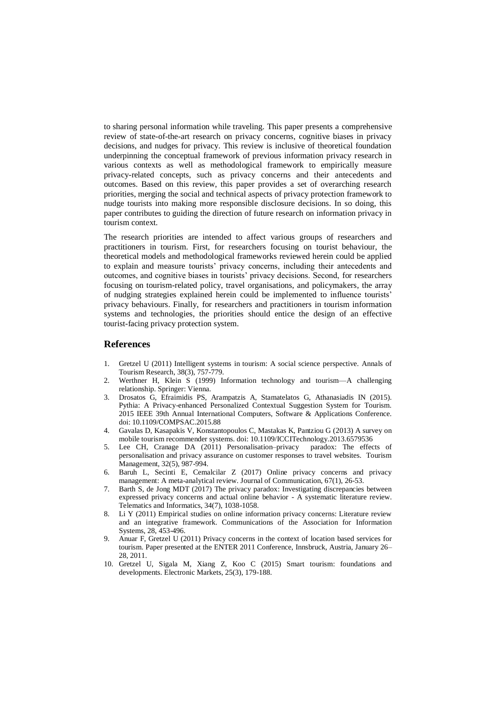to sharing personal information while traveling. This paper presents a comprehensive review of state-of-the-art research on privacy concerns, cognitive biases in privacy decisions, and nudges for privacy. This review is inclusive of theoretical foundation underpinning the conceptual framework of previous information privacy research in various contexts as well as methodological framework to empirically measure privacy-related concepts, such as privacy concerns and their antecedents and outcomes. Based on this review, this paper provides a set of overarching research priorities, merging the social and technical aspects of privacy protection framework to nudge tourists into making more responsible disclosure decisions. In so doing, this paper contributes to guiding the direction of future research on information privacy in tourism context.

The research priorities are intended to affect various groups of researchers and practitioners in tourism. First, for researchers focusing on tourist behaviour, the theoretical models and methodological frameworks reviewed herein could be applied to explain and measure tourists' privacy concerns, including their antecedents and outcomes, and cognitive biases in tourists' privacy decisions. Second, for researchers focusing on tourism-related policy, travel organisations, and policymakers, the array of nudging strategies explained herein could be implemented to influence tourists' privacy behaviours. Finally, for researchers and practitioners in tourism information systems and technologies, the priorities should entice the design of an effective tourist-facing privacy protection system.

# **References**

- 1. Gretzel U (2011) Intelligent systems in tourism: A social science perspective. Annals of Tourism Research, 38(3), 757-779.
- 2. Werthner H, Klein S (1999) Information technology and tourism—A challenging relationship. Springer: Vienna.
- 3. Drosatos G, Efraimidis PS, Arampatzis A, Stamatelatos G, Athanasiadis IN (2015). Pythia: A Privacy-enhanced Personalized Contextual Suggestion System for Tourism. 2015 IEEE 39th Annual International Computers, Software & Applications Conference. doi: 10.1109/COMPSAC.2015.88
- 4. Gavalas D, Kasapakis V, Konstantopoulos C, Mastakas K, Pantziou G (2013) A survey on mobile tourism recommender systems. doi[: 10.1109/ICCITechnology.2013.6579536](https://doi.org/10.1109/ICCITechnology.2013.6579536)
- 5. Lee CH, Cranage DA (2011) Personalisation–privacy paradox: The effects of personalisation and privacy assurance on customer responses to travel websites. Tourism Management, 32(5), 987-994.
- 6. Baruh L, Secinti E, Cemalcilar Z (2017) Online privacy concerns and privacy management: A meta-analytical review. Journal of Communication, 67(1), 26-53.
- 7. Barth S, de Jong MDT (2017) The privacy paradox: Investigating discrepancies between expressed privacy concerns and actual online behavior - A systematic literature review. Telematics and Informatics, 34(7), 1038-1058.
- 8. Li Y (2011) Empirical studies on online information privacy concerns: Literature review and an integrative framework. Communications of the Association for Information Systems, 28, 453-496.
- 9. Anuar F, Gretzel U (2011) Privacy concerns in the context of location based services for tourism. Paper presented at the ENTER 2011 Conference, Innsbruck, Austria, January 26– 28, 2011.
- 10. Gretzel U, Sigala M, Xiang Z, Koo C (2015) Smart tourism: foundations and developments. Electronic Markets, 25(3), 179-188.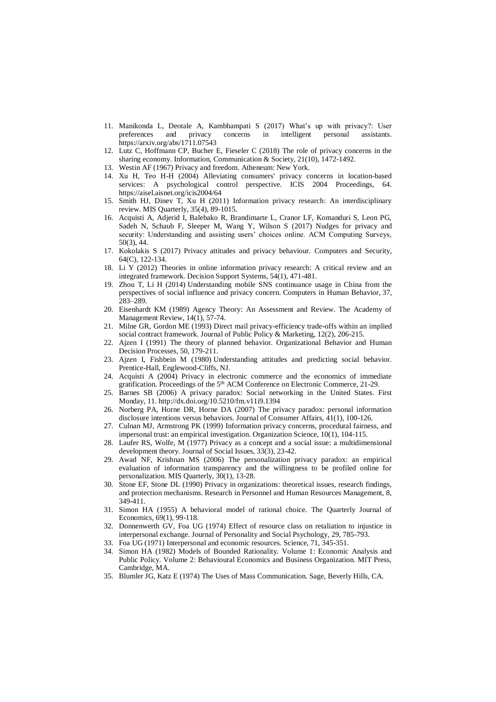- 11. Manikonda L, Deotale A, Kambhampati S (2017) What's up with privacy?: User preferences and privacy concerns in intelligent personal assistants. https://arxiv.org/abs/1711.07543
- 12. Lutz C, Hoffmann CP, Bucher E, Fieseler C (2018) The role of privacy concerns in the sharing economy. Information, Communication & Society, 21(10), 1472-1492.
- 13. Westin AF (1967) Privacy and freedom. Atheneum: New York.
- 14. Xu H, Teo H-H (2004) Alleviating consumers' privacy concerns in location-based services: A psychological control perspective. ICIS 2004 Proceedings, 64. https://aisel.aisnet.org/icis2004/64
- 15. Smith HJ, Dinev T, Xu H (2011) Information privacy research: An interdisciplinary review. MIS Quarterly, 35(4), 89-1015.
- 16. Acquisti A, Adjerid I, Balebako R, Brandimarte L, Cranor LF, Komanduri S, Leon PG, Sadeh N, Schaub F, Sleeper M, Wang Y, Wilson S (2017) Nudges for privacy and security: Understanding and assisting users' choices online. ACM Computing Surveys, 50(3), 44.
- 17. Kokolakis S (2017) Privacy attitudes and privacy behaviour. Computers and Security, 64(C), 122-134.
- 18. Li Y (2012) Theories in online information privacy research: A critical review and an integrated framework. Decision Support Systems, 54(1), 471-481.
- 19. Zhou T, Li H (2014) Understanding mobile SNS continuance usage in China from the perspectives of social influence and privacy concern. Computers in Human Behavior, 37, 283–289.
- 20. Eisenhardt KM (1989) Agency Theory: An Assessment and Review. The Academy of Management Review, 14(1), 57-74.
- 21. Milne GR, Gordon ME (1993) Direct mail privacy-efficiency trade-offs within an implied social contract framework. Journal of Public Policy & Marketing, 12(2), 206-215.
- 22. Ajzen I (1991) The theory of planned behavior. Organizational Behavior and Human Decision Processes, 50, 179-211.
- 23. Ajzen I, Fishbein M (1980) Understanding attitudes and predicting social behavior. Prentice-Hall, Englewood-Cliffs, NJ.
- 24. Acquisti A (2004) Privacy in electronic commerce and the economics of immediate gratification. Proceedings of the 5th ACM Conference on Electronic Commerce, 21-29.
- 25. Barnes SB (2006) A privacy paradox: Social networking in the United States. First Monday, 11. http://dx.doi.org/10.5210/fm.v11i9.1394
- 26. Norberg PA, Horne DR, Horne DA (2007) The privacy paradox: personal information disclosure intentions versus behaviors. Journal of Consumer Affairs, 41(1), 100-126.
- 27. Culnan MJ, Armstrong PK (1999) Information privacy concerns, procedural fairness, and impersonal trust: an empirical investigation. Organization Science, 10(1), 104-115.
- 28. Laufer RS, Wolfe, M (1977) Privacy as a concept and a social issue: a multidimensional development theory. Journal of Social Issues, 33(3), 23-42.
- 29. Awad NF, Krishnan MS (2006) The personalization privacy paradox: an empirical evaluation of information transparency and the willingness to be profiled online for personalization. MIS Quarterly, 30(1), 13-28.
- 30. Stone EF, Stone DL (1990) Privacy in organizations: theoretical issues, research findings, and protection mechanisms. Research in Personnel and Human Resources Management, 8, 349-411.
- 31. Simon HA (1955) A behavioral model of rational choice. The Quarterly Journal of Economics, 69(1), 99-118.
- 32. Donnenwerth GV, Foa UG (1974) Effect of resource class on retaliation to injustice in interpersonal exchange. Journal of Personality and Social Psychology, 29, 785-793.
- 33. Foa UG (1971) Interpersonal and economic resources. Science, 71, 345-351.
- 34. Simon HA (1982) Models of Bounded Rationality. Volume 1: Economic Analysis and Public Policy. Volume 2: Behavioural Economics and Business Organization. MIT Press, Cambridge, MA.
- 35. Blumler JG, Katz E (1974) The Uses of Mass Communication. Sage, Beverly Hills, CA.